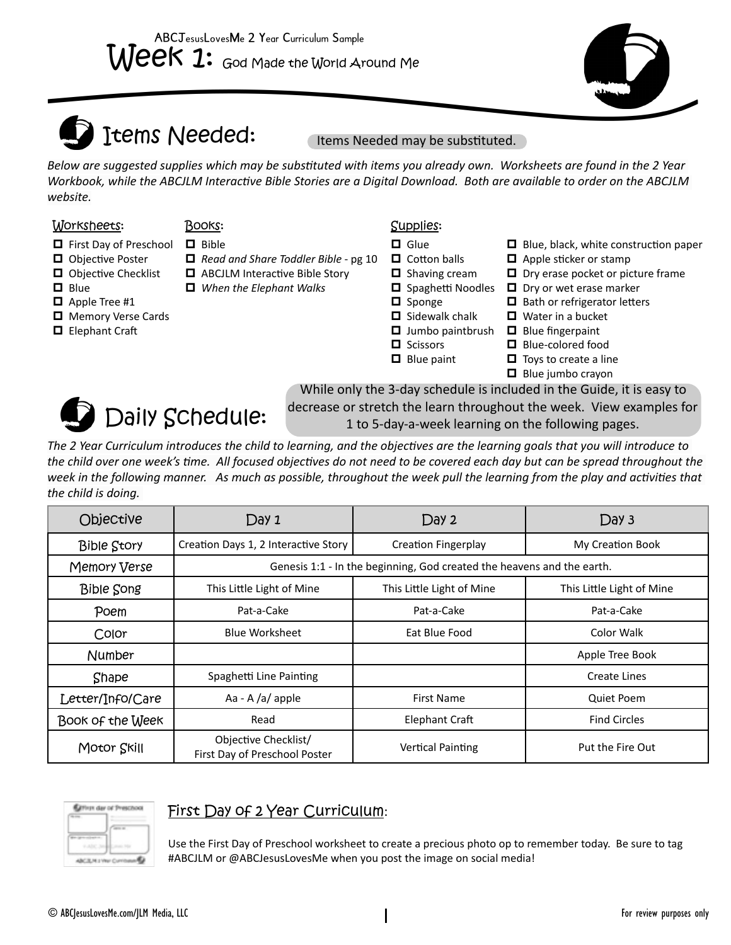

# Items Needed:

Items Needed may be substituted.

*Below are suggested supplies which may be substituted with items you already own. Worksheets are found in the 2 Year Workbook, while the ABCJLM Interactive Bible Stories are a Digital Download. Both are available to order on the ABCJLM website.*

#### Worksheets: Books: Supplies:

- □ First Day of Preschool □ Bible
- **O** Objective Poster
- $\Box$  Objective Checklist
- $\Box$  Blue
- $\Box$  Apple Tree #1
- **D** Memory Verse Cards
- □ Elephant Craft
- 
- *Read and Share Toddler Bible* pg 10
- ABCJLM Interactive Bible Story *When the Elephant Walks*
	-
- 
- $\Box$  Glue
- $\Box$  Cotton balls  $\Box$  Shaving cream
- □ Spaghetti Noodles □ Dry or wet erase marker
- D Sponge
- $\Box$  Sidewalk chalk
- $\Box$  Jumbo paintbrush  $\Box$  Blue fingerpaint
- **D** Scissors
- $\Box$  Blue paint
- Blue-colored food

□ Water in a bucket

 $\Box$  Apple sticker or stamp

 $\Box$  Bath or refrigerator letters

 $\Box$  Blue, black, white construction paper

 $\Box$  Dry erase pocket or picture frame

 $\Box$  Toys to create a line



 $\Box$  Blue jumbo crayon While only the 3-day schedule is included in the Guide, it is easy to decrease or stretch the learn throughout the week. View examples for 1 to 5-day-a-week learning on the following pages.

*The 2 Year Curriculum introduces the child to learning, and the objectives are the learning goals that you will introduce to the child over one week's time. All focused objectives do not need to be covered each day but can be spread throughout the week in the following manner. As much as possible, throughout the week pull the learning from the play and activities that the child is doing.* 

| Objective          | Day 1                                                                  | Day 2                      | Day 3                     |  |
|--------------------|------------------------------------------------------------------------|----------------------------|---------------------------|--|
| <b>Bible Story</b> | Creation Days 1, 2 Interactive Story                                   | <b>Creation Fingerplay</b> | My Creation Book          |  |
| Memory Verse       | Genesis 1:1 - In the beginning, God created the heavens and the earth. |                            |                           |  |
| <b>Bible Song</b>  | This Little Light of Mine                                              | This Little Light of Mine  | This Little Light of Mine |  |
| Poem               | Pat-a-Cake                                                             | Pat-a-Cake                 | Pat-a-Cake                |  |
| Color              | <b>Blue Worksheet</b>                                                  | Eat Blue Food              | Color Walk                |  |
| Number             |                                                                        |                            | Apple Tree Book           |  |
| Shape              | Spaghetti Line Painting                                                |                            | Create Lines              |  |
| Letter/Info/Care   | Aa - A $/a$ apple                                                      | <b>First Name</b>          | Quiet Poem                |  |
| Book of the Week   | Read                                                                   | <b>Elephant Craft</b>      | <b>Find Circles</b>       |  |
| Motor Skill        | Objective Checklist/<br>First Day of Preschool Poster                  | <b>Vertical Painting</b>   | Put the Fire Out          |  |

### First Day of 2 Year Curriculum:

Use the First Day of Preschool worksheet to create a precious photo op to remember today. Be sure to tag #ABCJLM or @ABCJesusLovesMe when you post the image on social media!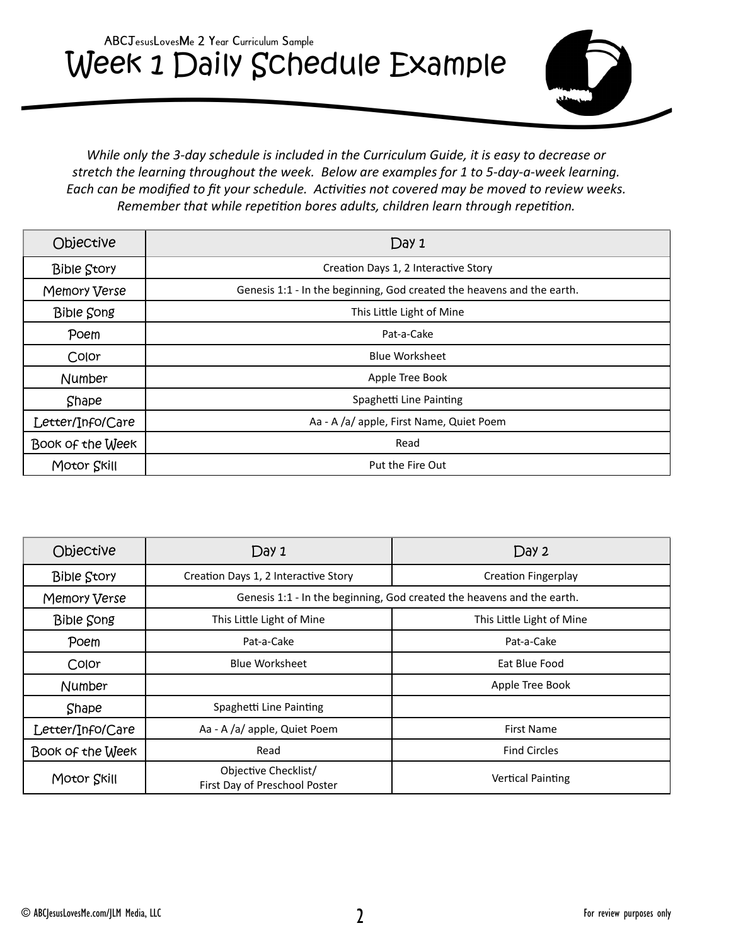# Week 1 Daily Schedule Example ABCJesusLovesMe 2 Year Curriculum Sample



*While only the 3-day schedule is included in the Curriculum Guide, it is easy to decrease or stretch the learning throughout the week. Below are examples for 1 to 5-day-a-week learning. Each can be modified to fit your schedule. Activities not covered may be moved to review weeks. Remember that while repetition bores adults, children learn through repetition.*

| Objective          | Day 1                                                                  |
|--------------------|------------------------------------------------------------------------|
| <b>Bible Story</b> | Creation Days 1, 2 Interactive Story                                   |
| Memory Verse       | Genesis 1:1 - In the beginning, God created the heavens and the earth. |
| <b>Bible Song</b>  | This Little Light of Mine                                              |
| Poem               | Pat-a-Cake                                                             |
| Color              | <b>Blue Worksheet</b>                                                  |
| <b>Number</b>      | Apple Tree Book                                                        |
| Shape              | Spaghetti Line Painting                                                |
| Letter/Info/Care   | Aa - A /a/ apple, First Name, Quiet Poem                               |
| Book of the Week   | Read                                                                   |
| Motor Skill        | Put the Fire Out                                                       |

| Objective          | Day 1                                                                  | Day 2                      |  |
|--------------------|------------------------------------------------------------------------|----------------------------|--|
| <b>Bible Story</b> | Creation Days 1, 2 Interactive Story                                   | <b>Creation Fingerplay</b> |  |
| Memory Verse       | Genesis 1:1 - In the beginning, God created the heavens and the earth. |                            |  |
| <b>Bible Song</b>  | This Little Light of Mine                                              | This Little Light of Mine  |  |
| Poem               | Pat-a-Cake                                                             | Pat-a-Cake                 |  |
| Color              | <b>Blue Worksheet</b>                                                  | Eat Blue Food              |  |
| Number             |                                                                        | Apple Tree Book            |  |
| Shape              | Spaghetti Line Painting                                                |                            |  |
| Letter/Info/Care   | Aa - A /a/ apple, Quiet Poem                                           | <b>First Name</b>          |  |
| Book of the Week   | Read                                                                   | <b>Find Circles</b>        |  |
| Motor Skill        | Objective Checklist/<br>First Day of Preschool Poster                  | <b>Vertical Painting</b>   |  |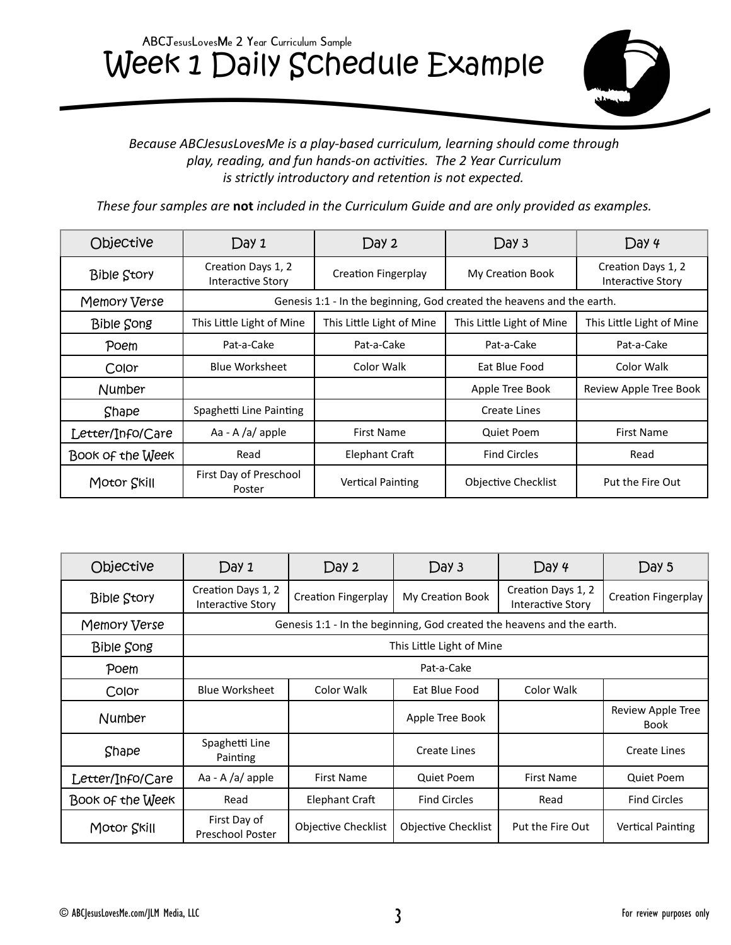# Week 1 Daily Schedule Example ABCJesusLovesMe 2 Year Curriculum Sample



#### *Because ABCJesusLovesMe is a play-based curriculum, learning should come through play, reading, and fun hands-on activities. The 2 Year Curriculum is strictly introductory and retention is not expected.*

*These four samples are* **not** *included in the Curriculum Guide and are only provided as examples.* 

| Objective          | Day 1                                   | Day 2                                                                  | Day 3                      | Day 4                                          |  |
|--------------------|-----------------------------------------|------------------------------------------------------------------------|----------------------------|------------------------------------------------|--|
| <b>Bible Story</b> | Creation Days 1, 2<br>Interactive Story | <b>Creation Fingerplay</b>                                             | My Creation Book           | Creation Days 1, 2<br><b>Interactive Story</b> |  |
| Memory Verse       |                                         | Genesis 1:1 - In the beginning, God created the heavens and the earth. |                            |                                                |  |
| <b>Bible Song</b>  | This Little Light of Mine               | This Little Light of Mine                                              | This Little Light of Mine  | This Little Light of Mine                      |  |
| Poem               | Pat-a-Cake                              | Pat-a-Cake                                                             | Pat-a-Cake                 | Pat-a-Cake                                     |  |
| Color              | <b>Blue Worksheet</b>                   | Color Walk                                                             | Eat Blue Food              | Color Walk                                     |  |
| Number             |                                         |                                                                        | Apple Tree Book            | Review Apple Tree Book                         |  |
| Shape              | Spaghetti Line Painting                 |                                                                        | <b>Create Lines</b>        |                                                |  |
| Letter/Info/Care   | Aa - A $/a$ apple                       | <b>First Name</b>                                                      | Quiet Poem                 | <b>First Name</b>                              |  |
| Book of the Week   | Read                                    | Elephant Craft                                                         | <b>Find Circles</b>        | Read                                           |  |
| Motor Skill        | First Day of Preschool<br>Poster        | <b>Vertical Painting</b>                                               | <b>Objective Checklist</b> | Put the Fire Out                               |  |

| Objective          | Day 1                                                                  | Day 2                      | Day 3                      | Day 4                                   | Day 5                            |
|--------------------|------------------------------------------------------------------------|----------------------------|----------------------------|-----------------------------------------|----------------------------------|
| <b>Bible Story</b> | Creation Days 1, 2<br><b>Interactive Story</b>                         | <b>Creation Fingerplay</b> | My Creation Book           | Creation Days 1, 2<br>Interactive Story | <b>Creation Fingerplay</b>       |
| Memory Verse       | Genesis 1:1 - In the beginning, God created the heavens and the earth. |                            |                            |                                         |                                  |
| <b>Bible Song</b>  |                                                                        | This Little Light of Mine  |                            |                                         |                                  |
| Poem               | Pat-a-Cake                                                             |                            |                            |                                         |                                  |
| Color              | <b>Blue Worksheet</b>                                                  | Color Walk                 | Eat Blue Food              | Color Walk                              |                                  |
| Number             |                                                                        |                            | Apple Tree Book            |                                         | Review Apple Tree<br><b>Book</b> |
| Shape              | Spaghetti Line<br>Painting                                             |                            | Create Lines               |                                         | Create Lines                     |
| Letter/Info/Care   | Aa - A /a/ apple                                                       | First Name                 | Quiet Poem                 | <b>First Name</b>                       | Quiet Poem                       |
| Book of the Week   | Read                                                                   | Elephant Craft             | <b>Find Circles</b>        | Read                                    | <b>Find Circles</b>              |
| Motor Skill        | First Day of<br><b>Preschool Poster</b>                                | <b>Objective Checklist</b> | <b>Objective Checklist</b> | Put the Fire Out                        | <b>Vertical Painting</b>         |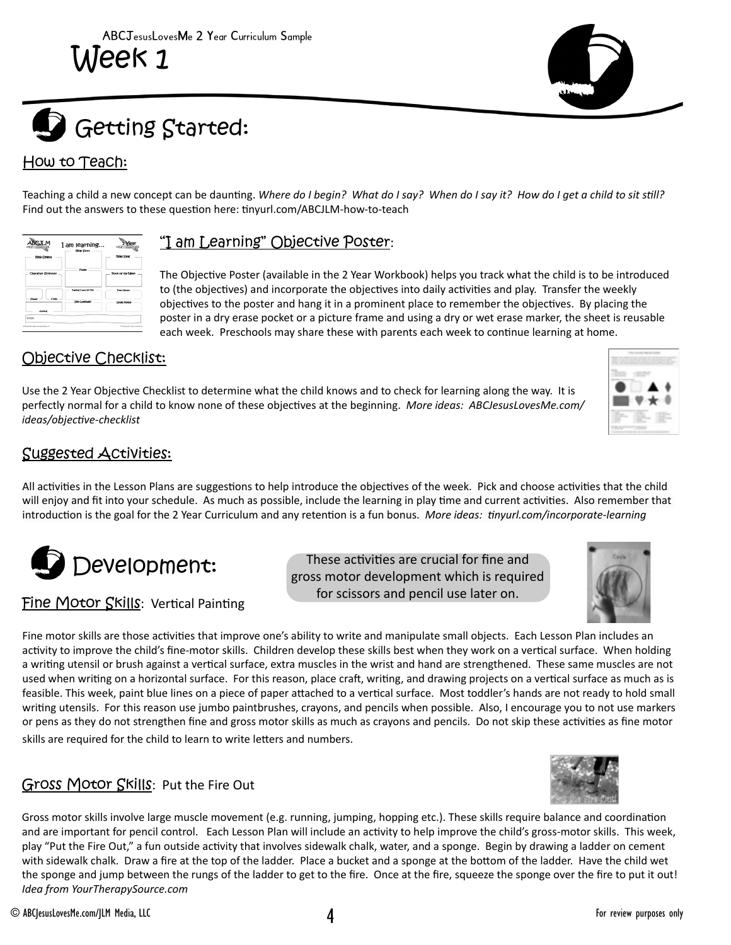

# How to Teach:

Teaching a child a new concept can be daunting. *Where do I begin? What do I say? When do I say it? How do I get a child to sit still?*  Find out the answers to these question here: tinyurl.com/ABCJLM-how-to-teach

| <b>Bitse Crebos</b> | <b>Bible Story</b>   | <b>Biltrie Slowe</b>      |
|---------------------|----------------------|---------------------------|
|                     |                      |                           |
| Character Scripture | Posts                | <b>Rook of the Liber.</b> |
|                     | Taking Card of Mg    | The Motor                 |
| Color<br>Chang      | <b>City Language</b> | Gross Motor               |
| Anderse             |                      |                           |

#### "I am Learning" Objective Poster:

The Objective Poster (available in the 2 Year Workbook) helps you track what the child is to be introduced to (the objectives) and incorporate the objectives into daily activities and play. Transfer the weekly objectives to the poster and hang it in a prominent place to remember the objectives. By placing the poster in a dry erase pocket or a picture frame and using a dry or wet erase marker, the sheet is reusable each week. Preschools may share these with parents each week to continue learning at home.

### Objective Checklist:

Use the 2 Year Objective Checklist to determine what the child knows and to check for learning along the way. It is perfectly normal for a child to know none of these objectives at the beginning. *More ideas: ABCJesusLovesMe.com/ ideas/objective-checklist*



## Suggested Activities:

All activities in the Lesson Plans are suggestions to help introduce the objectives of the week. Pick and choose activities that the child will enjoy and fit into your schedule. As much as possible, include the learning in play time and current activities. Also remember that introduction is the goal for the 2 Year Curriculum and any retention is a fun bonus. *More ideas: tinyurl.com/incorporate-learning*



Fine Motor Skills: Vertical Painting

These activities are crucial for fine and gross motor development which is required for scissors and pencil use later on.



Fine motor skills are those activities that improve one's ability to write and manipulate small objects. Each Lesson Plan includes an activity to improve the child's fine-motor skills. Children develop these skills best when they work on a vertical surface. When holding a writing utensil or brush against a vertical surface, extra muscles in the wrist and hand are strengthened. These same muscles are not used when writing on a horizontal surface. For this reason, place craft, writing, and drawing projects on a vertical surface as much as is feasible. This week, paint blue lines on a piece of paper attached to a vertical surface. Most toddler's hands are not ready to hold small writing utensils. For this reason use jumbo paintbrushes, crayons, and pencils when possible. Also, I encourage you to not use markers or pens as they do not strengthen fine and gross motor skills as much as crayons and pencils. Do not skip these activities as fine motor skills are required for the child to learn to write letters and numbers.

#### Gross Motor Skills: Put the Fire Out

Gross motor skills involve large muscle movement (e.g. running, jumping, hopping etc.). These skills require balance and coordination and are important for pencil control. Each Lesson Plan will include an activity to help improve the child's gross-motor skills. This week, play "Put the Fire Out," a fun outside activity that involves sidewalk chalk, water, and a sponge. Begin by drawing a ladder on cement with sidewalk chalk. Draw a fire at the top of the ladder. Place a bucket and a sponge at the bottom of the ladder. Have the child wet the sponge and jump between the rungs of the ladder to get to the fire. Once at the fire, squeeze the sponge over the fire to put it out! *Idea from YourTherapySource.com*

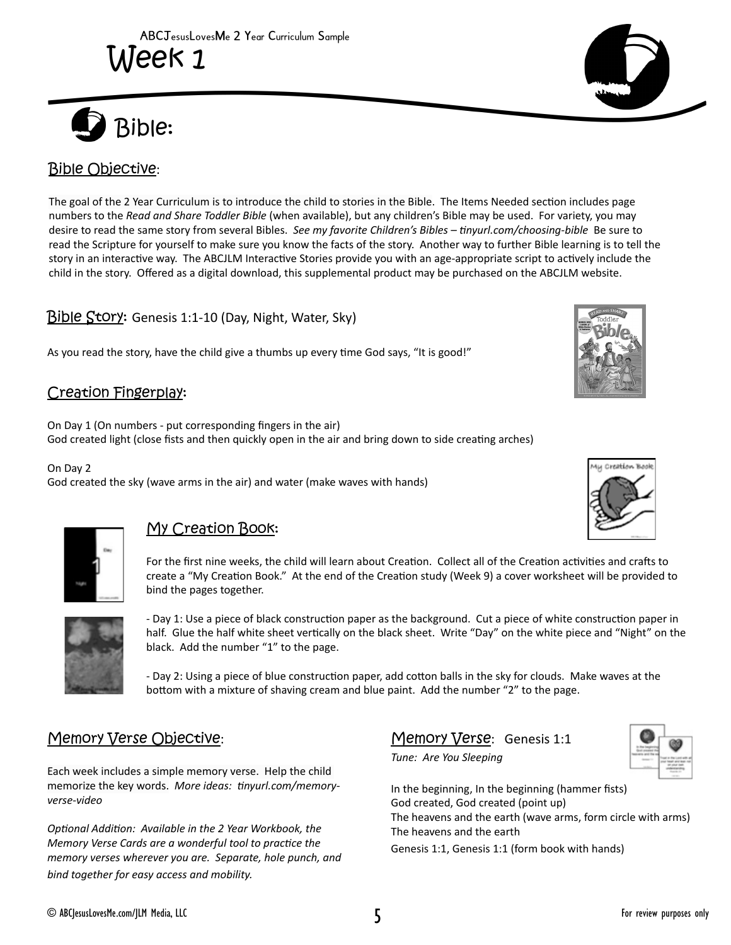

# Bible Objective:

The goal of the 2 Year Curriculum is to introduce the child to stories in the Bible. The Items Needed section includes page numbers to the *Read and Share Toddler Bible* (when available), but any children's Bible may be used. For variety, you may desire to read the same story from several Bibles. *See my favorite Children's Bibles – tinyurl.com/choosing-bible* Be sure to read the Scripture for yourself to make sure you know the facts of the story. Another way to further Bible learning is to tell the story in an interactive way. The ABCJLM Interactive Stories provide you with an age-appropriate script to actively include the child in the story. Offered as a digital download, this supplemental product may be purchased on the ABCJLM website.

#### Bible Story: Genesis 1:1-10 (Day, Night, Water, Sky)

As you read the story, have the child give a thumbs up every time God says, "It is good!"

#### Creation Fingerplay:

On Day 1 (On numbers - put corresponding fingers in the air) God created light (close fists and then quickly open in the air and bring down to side creating arches)

On Day 2 God created the sky (wave arms in the air) and water (make waves with hands)



#### My Creation Book:

For the first nine weeks, the child will learn about Creation. Collect all of the Creation activities and crafts to create a "My Creation Book." At the end of the Creation study (Week 9) a cover worksheet will be provided to bind the pages together.



- Day 1: Use a piece of black construction paper as the background. Cut a piece of white construction paper in half. Glue the half white sheet vertically on the black sheet. Write "Day" on the white piece and "Night" on the black. Add the number "1" to the page.

- Day 2: Using a piece of blue construction paper, add cotton balls in the sky for clouds. Make waves at the bottom with a mixture of shaving cream and blue paint. Add the number "2" to the page.

#### Memory Verse Objective:

Each week includes a simple memory verse. Help the child memorize the key words. *More ideas: tinyurl.com/memoryverse-video*

*Optional Addition: Available in the 2 Year Workbook, the Memory Verse Cards are a wonderful tool to practice the memory verses wherever you are. Separate, hole punch, and bind together for easy access and mobility.*

#### Memory Verse: Genesis 1:1

*Tune: Are You Sleeping*



In the beginning, In the beginning (hammer fists) God created, God created (point up) The heavens and the earth (wave arms, form circle with arms) The heavens and the earth Genesis 1:1, Genesis 1:1 (form book with hands)





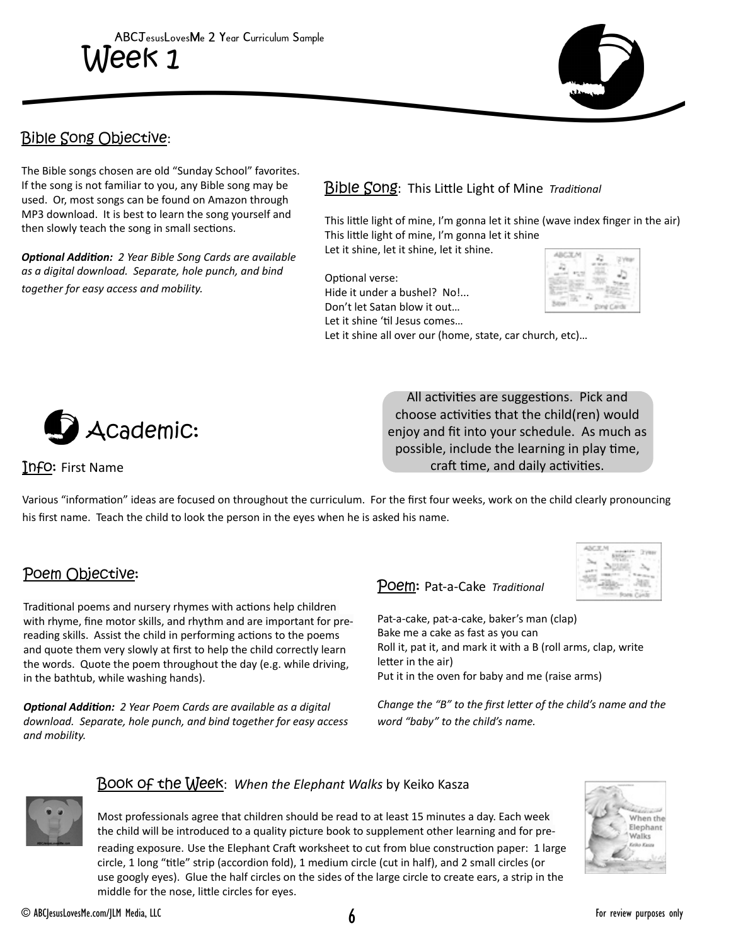

### Bible Song Objective:

The Bible songs chosen are old "Sunday School" favorites. If the song is not familiar to you, any Bible song may be used. Or, most songs can be found on Amazon through MP3 download. It is best to learn the song yourself and then slowly teach the song in small sections.

*Optional Addition: 2 Year Bible Song Cards are available as a digital download. Separate, hole punch, and bind together for easy access and mobility.*

#### Bible Song: This Little Light of Mine *Traditional*

This little light of mine, I'm gonna let it shine (wave index finger in the air) This little light of mine, I'm gonna let it shine Let it shine, let it shine, let it shine.

Optional verse: Hide it under a bushel? No!...

Don't let Satan blow it out… Let it shine 'til Jesus comes…



Let it shine all over our (home, state, car church, etc)…



All activities are suggestions. Pick and choose activities that the child(ren) would enjoy and fit into your schedule. As much as possible, include the learning in play time, craft time, and daily activities.

Info: First Name

Various "information" ideas are focused on throughout the curriculum. For the first four weeks, work on the child clearly pronouncing his first name. Teach the child to look the person in the eyes when he is asked his name.

#### Poem Objective:

Traditional poems and nursery rhymes with actions help children with rhyme, fine motor skills, and rhythm and are important for prereading skills. Assist the child in performing actions to the poems and quote them very slowly at first to help the child correctly learn the words. Quote the poem throughout the day (e.g. while driving, in the bathtub, while washing hands).

*Optional Addition: 2 Year Poem Cards are available as a digital download. Separate, hole punch, and bind together for easy access and mobility.* 

#### Poem: Pat-a-Cake *Traditional*

Pat-a-cake, pat-a-cake, baker's man (clap) Bake me a cake as fast as you can Roll it, pat it, and mark it with a B (roll arms, clap, write letter in the air) Put it in the oven for baby and me (raise arms)

*Change the "B" to the first letter of the child's name and the word "baby" to the child's name.*



#### Book of the Week: *When the Elephant Walks* by Keiko Kasza

Most professionals agree that children should be read to at least 15 minutes a day. Each week the child will be introduced to a quality picture book to supplement other learning and for prereading exposure. Use the Elephant Craft worksheet to cut from blue construction paper: 1 large circle, 1 long "title" strip (accordion fold), 1 medium circle (cut in half), and 2 small circles (or use googly eyes). Glue the half circles on the sides of the large circle to create ears, a strip in the middle for the nose, little circles for eyes.

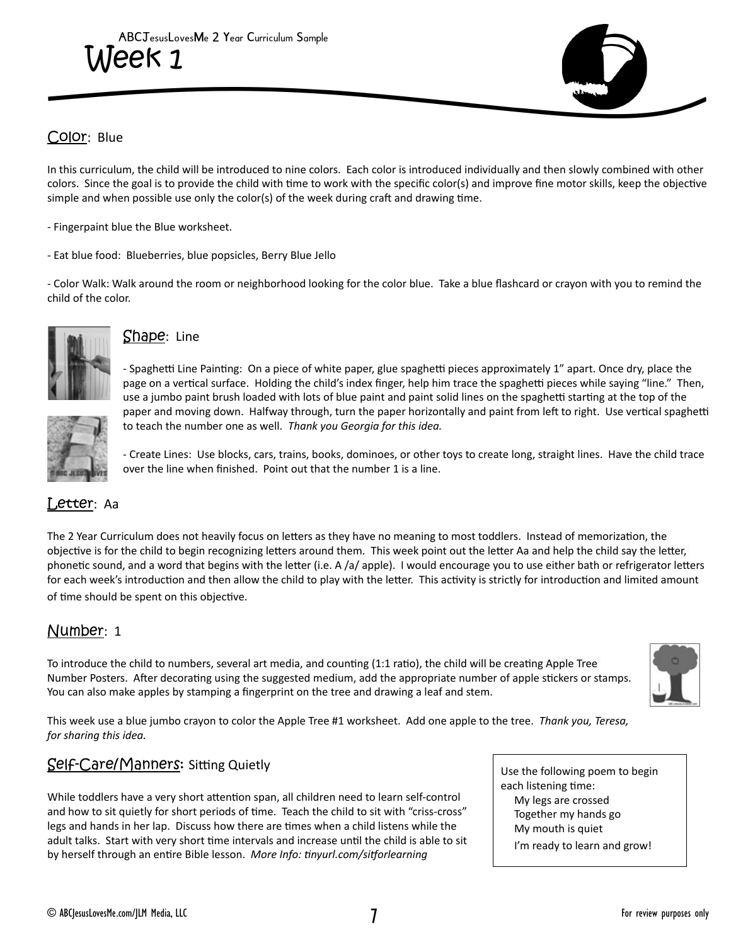

#### Color: Blue

In this curriculum, the child will be introduced to nine colors. Each color is introduced individually and then slowly combined with other colors. Since the goal is to provide the child with time to work with the specific color(s) and improve fine motor skills, keep the objective simple and when possible use only the color(s) of the week during craft and drawing time.

- Fingerpaint blue the Blue worksheet.

- Eat blue food: Blueberries, blue popsicles, Berry Blue Jello

- Color Walk: Walk around the room or neighborhood looking for the color blue. Take a blue flashcard or crayon with you to remind the child of the color.



#### Shape: Line

- Spaghetti Line Painting: On a piece of white paper, glue spaghetti pieces approximately 1" apart. Once dry, place the page on a vertical surface. Holding the child's index finger, help him trace the spaghetti pieces while saying "line." Then, use a jumbo paint brush loaded with lots of blue paint and paint solid lines on the spaghetti starting at the top of the paper and moving down. Halfway through, turn the paper horizontally and paint from left to right. Use vertical spaghetti to teach the number one as well. *Thank you Georgia for this idea.*



- Create Lines: Use blocks, cars, trains, books, dominoes, or other toys to create long, straight lines. Have the child trace over the line when finished. Point out that the number 1 is a line.

#### Letter: Aa

The 2 Year Curriculum does not heavily focus on letters as they have no meaning to most toddlers. Instead of memorization, the objective is for the child to begin recognizing letters around them. This week point out the letter Aa and help the child say the letter, phonetic sound, and a word that begins with the letter (i.e. A /a/ apple). I would encourage you to use either bath or refrigerator letters for each week's introduction and then allow the child to play with the letter. This activity is strictly for introduction and limited amount of time should be spent on this objective.

#### Number: 1

To introduce the child to numbers, several art media, and counting (1:1 ratio), the child will be creating Apple Tree Number Posters. After decorating using the suggested medium, add the appropriate number of apple stickers or stamps. You can also make apples by stamping a fingerprint on the tree and drawing a leaf and stem.



This week use a blue jumbo crayon to color the Apple Tree #1 worksheet. Add one apple to the tree. *Thank you, Teresa, for sharing this idea.*

#### Self-Care/Manners: Sitting Quietly

While toddlers have a very short attention span, all children need to learn self-control and how to sit quietly for short periods of time. Teach the child to sit with "criss-cross" legs and hands in her lap. Discuss how there are times when a child listens while the adult talks. Start with very short time intervals and increase until the child is able to sit by herself through an entire Bible lesson. *More Info: tinyurl.com/sitforlearning*

Use the following poem to begin each listening time: My legs are crossed Together my hands go My mouth is quiet I'm ready to learn and grow!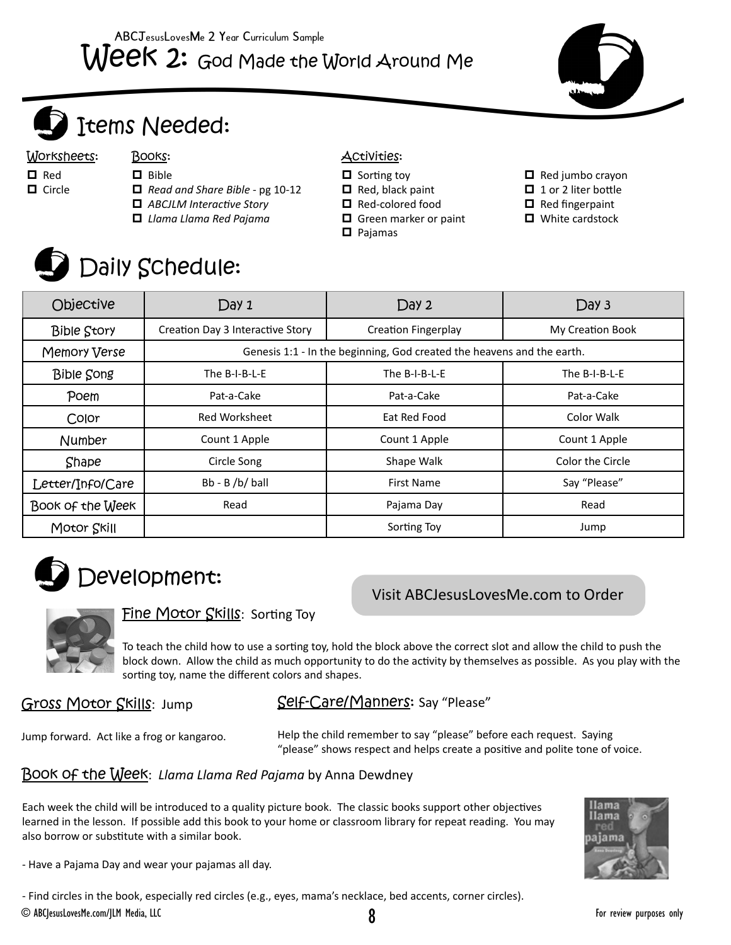



# Items Needed:

Worksheets: Books: **Activities:** 

#### □ Red

- $\Box$  Circle
- D Bible *Read and Share Bible* - pg 10-12
- *ABCJLM Interactive Story*
- *Llama Llama Red Pajama*
- 

- $\Box$  Sorting toy
- $\Box$  Red, black paint
- Red-colored food
- Green marker or paint
- Pajamas
- $\Box$  Red jumbo crayon
- □ 1 or 2 liter bottle
- $\Box$  Red fingerpaint
- White cardstock



# Daily Schedule:

| Objective          | Day 1                                                                  | Day 2                      | Day 3            |  |
|--------------------|------------------------------------------------------------------------|----------------------------|------------------|--|
| <b>Bible Story</b> | Creation Day 3 Interactive Story                                       | <b>Creation Fingerplay</b> | My Creation Book |  |
| Memory Verse       | Genesis 1:1 - In the beginning, God created the heavens and the earth. |                            |                  |  |
| <b>Bible Song</b>  | The B-I-B-L-E                                                          | The B-I-B-L-E              | The B-I-B-L-E    |  |
| Poem               | Pat-a-Cake                                                             | Pat-a-Cake                 | Pat-a-Cake       |  |
| Color              | Red Worksheet                                                          | Eat Red Food               | Color Walk       |  |
| Number             | Count 1 Apple                                                          | Count 1 Apple              | Count 1 Apple    |  |
| Shape              | Circle Song                                                            | Shape Walk                 | Color the Circle |  |
| Letter/Info/Care   | Bb - B /b/ ball                                                        | <b>First Name</b>          | Say "Please"     |  |
| Book of the Week   | Read                                                                   | Pajama Day                 | Read             |  |
| Motor Skill        |                                                                        | Sorting Toy                | Jump             |  |



# Visit ABCJesusLovesMe.com to Order



# Fine Motor Skills: Sorting Toy

To teach the child how to use a sorting toy, hold the block above the correct slot and allow the child to push the block down. Allow the child as much opportunity to do the activity by themselves as possible. As you play with the sorting toy, name the different colors and shapes.

Gross Motor Skills: Jump

# Self-Care/Manners: Say "Please"

Jump forward. Act like a frog or kangaroo.

Help the child remember to say "please" before each request. Saying "please" shows respect and helps create a positive and polite tone of voice.

# Book of the Week: *Llama Llama Red Pajama* by Anna Dewdney

Each week the child will be introduced to a quality picture book. The classic books support other objectives learned in the lesson. If possible add this book to your home or classroom library for repeat reading. You may also borrow or substitute with a similar book.



- Have a Pajama Day and wear your pajamas all day.

- Find circles in the book, especially red circles (e.g., eyes, mama's necklace, bed accents, corner circles). © ABCJesusLovesMe.com/JLM Media, LLC 8 For review purposes only